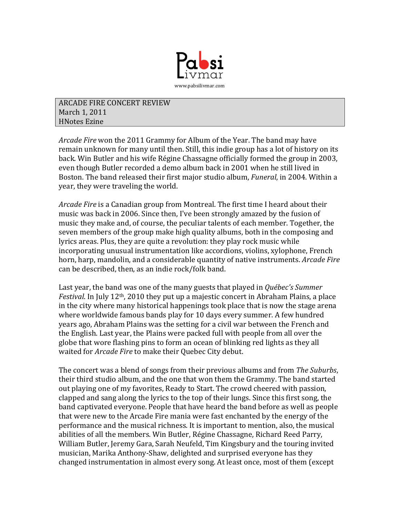

**ARCADE FIRE CONCERT REVIEW** March 1, 2011 **HNotes Ezine** 

*Arcade Fire* won the 2011 Grammy for Album of the Year. The band may have remain unknown for many until then. Still, this indie group has a lot of history on its back. Win Butler and his wife Régine Chassagne officially formed the group in 2003, even though Butler recorded a demo album back in 2001 when he still lived in Boston. The band released their first major studio album, *Funeral*, in 2004. Within a year, they were traveling the world.

*Arcade Fire* is a Canadian group from Montreal. The first time I heard about their music was back in 2006. Since then, I've been strongly amazed by the fusion of music they make and, of course, the peculiar talents of each member. Together, the seven members of the group make high quality albums, both in the composing and lyrics areas. Plus, they are quite a revolution: they play rock music while incorporating unusual instrumentation like accordions, violins, xylophone, French horn, harp, mandolin, and a considerable quantity of native instruments. *Arcade Fire* can be described, then, as an indie rock/folk band.

Last year, the band was one of the many guests that played in *Québec's Summer Festival*. In July 12<sup>th</sup>, 2010 they put up a majestic concert in Abraham Plains, a place in the city where many historical happenings took place that is now the stage arena where worldwide famous bands play for 10 days every summer. A few hundred years ago, Abraham Plains was the setting for a civil war between the French and the English. Last year, the Plains were packed full with people from all over the globe that wore flashing pins to form an ocean of blinking red lights as they all waited for *Arcade Fire* to make their Quebec City debut.

The concert was a blend of songs from their previous albums and from *The Suburbs*, their third studio album, and the one that won them the Grammy. The band started out playing one of my favorites, Ready to Start. The crowd cheered with passion, clapped and sang along the lyrics to the top of their lungs. Since this first song, the band captivated everyone. People that have heard the band before as well as people that were new to the Arcade Fire mania were fast enchanted by the energy of the performance and the musical richness. It is important to mention, also, the musical abilities of all the members. Win Butler, Régine Chassagne, Richard Reed Parry, William Butler, Jeremy Gara, Sarah Neufeld, Tim Kingsbury and the touring invited musician, Marika Anthony-Shaw, delighted and surprised everyone has they changed instrumentation in almost every song. At least once, most of them (except